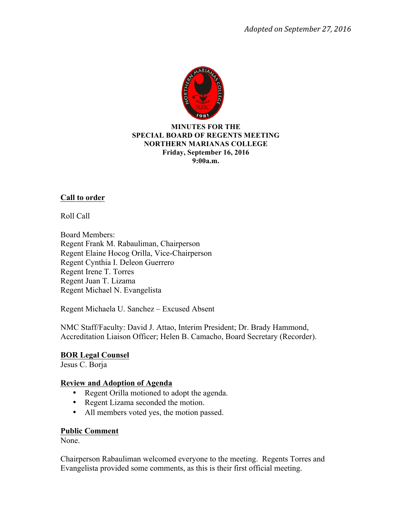

### **MINUTES FOR THE SPECIAL BOARD OF REGENTS MEETING NORTHERN MARIANAS COLLEGE Friday, September 16, 2016 9:00a.m.**

# **Call to order**

Roll Call

Board Members: Regent Frank M. Rabauliman, Chairperson Regent Elaine Hocog Orilla, Vice-Chairperson Regent Cynthia I. Deleon Guerrero Regent Irene T. Torres Regent Juan T. Lizama Regent Michael N. Evangelista

Regent Michaela U. Sanchez – Excused Absent

NMC Staff/Faculty: David J. Attao, Interim President; Dr. Brady Hammond, Accreditation Liaison Officer; Helen B. Camacho, Board Secretary (Recorder).

### **BOR Legal Counsel**

Jesus C. Borja

## **Review and Adoption of Agenda**

- Regent Orilla motioned to adopt the agenda.
- Regent Lizama seconded the motion.
- All members voted yes, the motion passed.

### **Public Comment**

None.

Chairperson Rabauliman welcomed everyone to the meeting. Regents Torres and Evangelista provided some comments, as this is their first official meeting.